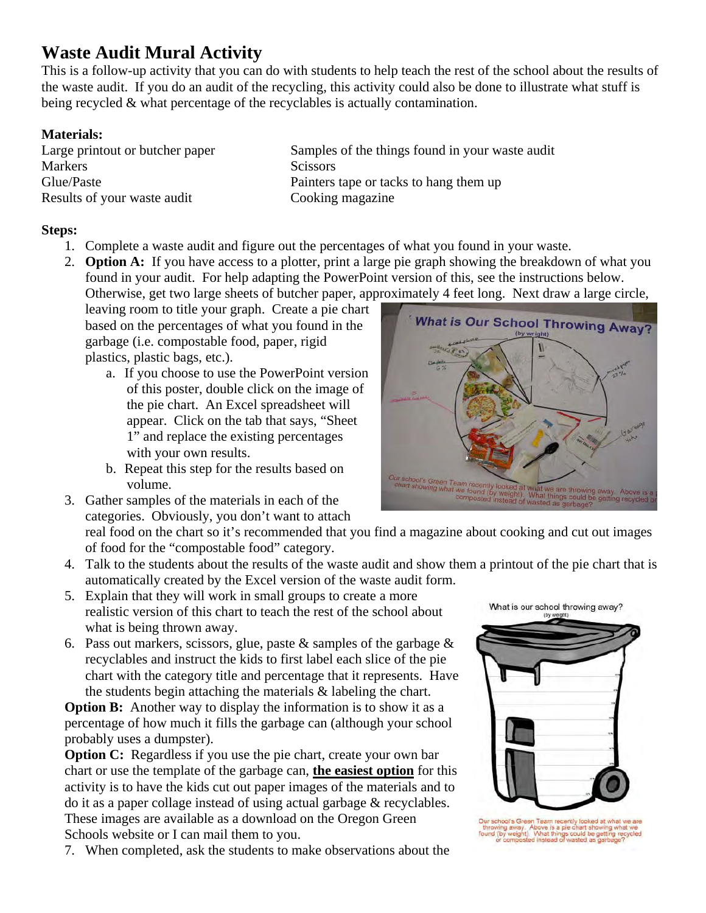## **Waste Audit Mural Activity**

This is a follow-up activity that you can do with students to help teach the rest of the school about the results of the waste audit. If you do an audit of the recycling, this activity could also be done to illustrate what stuff is being recycled & what percentage of the recyclables is actually contamination.

## **Materials:**

Markers Scissors Results of your waste audit Cooking magazine

Large printout or butcher paper Samples of the things found in your waste audit Glue/Paste Painters tape or tacks to hang them up

## **Steps:**

- 1. Complete a waste audit and figure out the percentages of what you found in your waste.
- 2. **Option A:** If you have access to a plotter, print a large pie graph showing the breakdown of what you found in your audit. For help adapting the PowerPoint version of this, see the instructions below. Otherwise, get two large sheets of butcher paper, approximately 4 feet long. Next draw a large circle,

leaving room to title your graph. Create a pie chart based on the percentages of what you found in the garbage (i.e. compostable food, paper, rigid plastics, plastic bags, etc.).

- a. If you choose to use the PowerPoint version of this poster, double click on the image of the pie chart. An Excel spreadsheet will appear. Click on the tab that says, "Sheet 1" and replace the existing percentages with your own results.
- b. Repeat this step for the results based on volume.
- What is Our School Throwing Away? W
- 3. Gather samples of the materials in each of the categories. Obviously, you don't want to attach real food on the chart so it's recommended that you find a magazine about cooking and cut out images
- of food for the "compostable food" category. 4. Talk to the students about the results of the waste audit and show them a printout of the pie chart that is
- automatically created by the Excel version of the waste audit form. 5. Explain that they will work in small groups to create a more realistic version of this chart to teach the rest of the school about what is being thrown away.
- 6. Pass out markers, scissors, glue, paste  $\&$  samples of the garbage  $\&$ recyclables and instruct the kids to first label each slice of the pie chart with the category title and percentage that it represents. Have the students begin attaching the materials & labeling the chart.

**Option B:** Another way to display the information is to show it as a percentage of how much it fills the garbage can (although your school probably uses a dumpster).

**Option C:** Regardless if you use the pie chart, create your own bar chart or use the template of the garbage can, **the easiest option** for this activity is to have the kids cut out paper images of the materials and to do it as a paper collage instead of using actual garbage & recyclables. These images are available as a download on the Oregon Green Schools website or I can mail them to you.

7. When completed, ask the students to make observations about the

What is our school throwing away? (by



ool's Green Team recently<br>ig away. Above is a pie d<br>iy weight). What things co<br>composted instead of wa